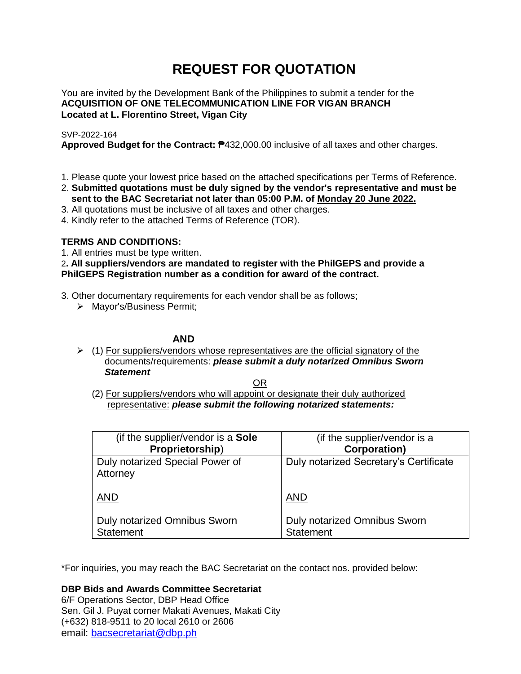# **REQUEST FOR QUOTATION**

You are invited by the Development Bank of the Philippines to submit a tender for the **ACQUISITION OF ONE TELECOMMUNICATION LINE FOR VIGAN BRANCH Located at L. Florentino Street, Vigan City**

## SVP-2022-164

**Approved Budget for the Contract:** ₱432,000.00 inclusive of all taxes and other charges.

- 1. Please quote your lowest price based on the attached specifications per Terms of Reference.
- 2. **Submitted quotations must be duly signed by the vendor's representative and must be sent to the BAC Secretariat not later than 05:00 P.M. of Monday 20 June 2022.**
- 3. All quotations must be inclusive of all taxes and other charges.
- 4. Kindly refer to the attached Terms of Reference (TOR).

# **TERMS AND CONDITIONS:**

1. All entries must be type written.

2**. All suppliers/vendors are mandated to register with the PhilGEPS and provide a PhilGEPS Registration number as a condition for award of the contract.**

- 3. Other documentary requirements for each vendor shall be as follows;
	- > Mayor's/Business Permit;

## **AND**

 $\geq$  (1) For suppliers/vendors whose representatives are the official signatory of the documents/requirements: *please submit a duly notarized Omnibus Sworn Statement*

<u>OR Starting and the Starting OR Starting</u>

(2) For suppliers/vendors who will appoint or designate their duly authorized representative: *please submit the following notarized statements:*

| (if the supplier/vendor is a Sole                       | (if the supplier/vendor is a                            |
|---------------------------------------------------------|---------------------------------------------------------|
| Proprietorship)                                         | <b>Corporation)</b>                                     |
| Duly notarized Special Power of<br>Attorney             | Duly notarized Secretary's Certificate                  |
| <b>AND</b>                                              | <b>AND</b>                                              |
| <b>Duly notarized Omnibus Sworn</b><br><b>Statement</b> | <b>Duly notarized Omnibus Sworn</b><br><b>Statement</b> |

\*For inquiries, you may reach the BAC Secretariat on the contact nos. provided below:

**DBP Bids and Awards Committee Secretariat** 

6/F Operations Sector, DBP Head Office Sen. Gil J. Puyat corner Makati Avenues, Makati City (+632) 818-9511 to 20 local 2610 or 2606 email: [bacsecretariat@dbp.ph](mailto:bacsecretariat@dbp.ph)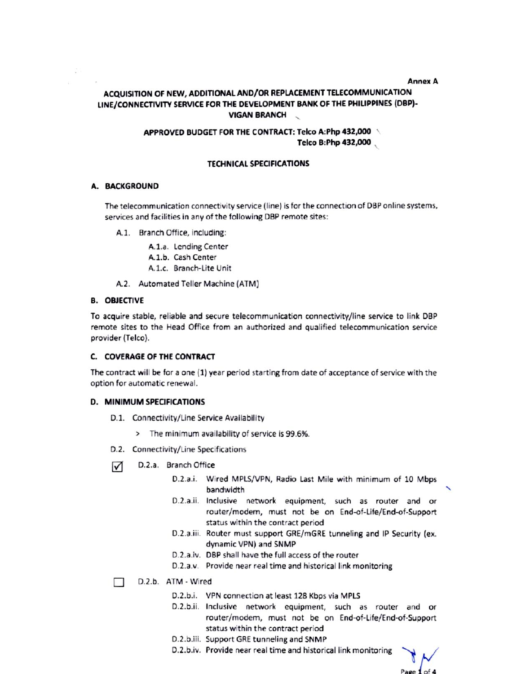**Annex A** 

# ACQUISITION OF NEW, ADDITIONAL AND/OR REPLACEMENT TELECOMMUNICATION LINE/CONNECTIVITY SERVICE FOR THE DEVELOPMENT BANK OF THE PHILIPPINES (DBP)-**VIGAN BRANCH**

## APPROVED BUDGET FOR THE CONTRACT: Telco A:Php 432,000 Telco B:Php 432,000

## **TECHNICAL SPECIFICATIONS**

#### A. BACKGROUND

The telecommunication connectivity service (line) is for the connection of DBP online systems, services and facilities in any of the following DBP remote sites:

A.1. Branch Office, including:

A.1.a. Lending Center

- A.1.b. Cash Center
- A.1.c. Branch-Lite Unit
- A.2. Automated Teller Machine (ATM)

#### **B. OBJECTIVE**

To acquire stable, reliable and secure telecommunication connectivity/line service to link DBP remote sites to the Head Office from an authorized and qualified telecommunication service provider (Telco).

#### C. COVERAGE OF THE CONTRACT

The contract will be for a one (1) year period starting from date of acceptance of service with the option for automatic renewal.

#### **D. MINIMUM SPECIFICATIONS**

- D.1. Connectivity/Line Service Availability
	- > The minimum availability of service is 99.6%.
- D.2. Connectivity/Line Specifications
- ☑ D.2.a. Branch Office
	- D.2.a.i. Wired MPLS/VPN, Radio Last Mile with minimum of 10 Mbps bandwidth
	- D.2.a.ii. Inclusive network equipment, such as router and or router/modem, must not be on End-of-Life/End-of-Support status within the contract period
	- D.2.a.iii. Router must support GRE/mGRE tunneling and IP Security (ex. dynamic VPN) and SNMP
	- D.2.a.iv. DBP shall have the full access of the router
	- D.2.a.v. Provide near real time and historical link monitoring
- D.2.b. ATM Wired П
	- D.2.b.i. VPN connection at least 128 Kbps via MPLS
	- D.2.b.ii. Inclusive network equipment, such as router and or router/modem, must not be on End-of-Life/End-of-Support status within the contract period
	- D.2.b.iii. Support GRE tunneling and SNMP
	- D.2.b.iv. Provide near real time and historical link monitoring

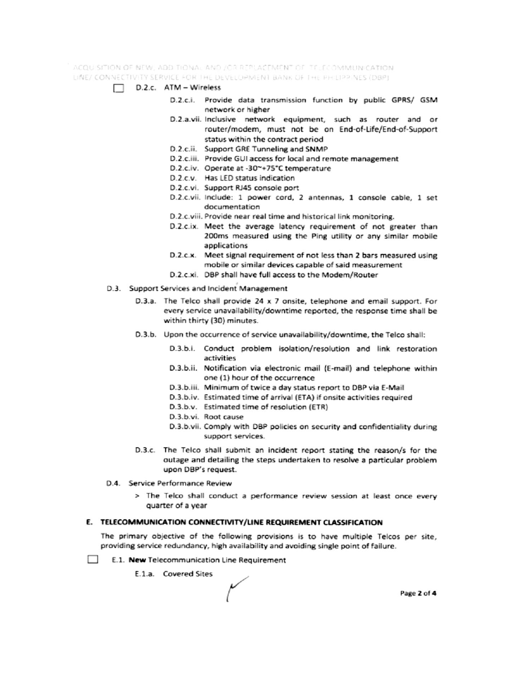ACQUISITION OF NEW, ADDITIONAL AND JOR REPLACEMENT OF TELECOMMUNICATION. LINE/ CONNECTIVITY SERVICE FOR THE DEVELOPMENT BANK OF THE PHILIPPINES (DBP)

- $\Box$  D.2.c. ATM Wireless
	- D.2.c.i. Provide data transmission function by public GPRS/ GSM network or higher
	- D.2.a.vii. Inclusive network equipment, such as router and or router/modem, must not be on End-of-Life/End-of-Support status within the contract period
	- D.2.c.ii. Support GRE Tunneling and SNMP
	- D.2.c.iii. Provide GUI access for local and remote management
	- D.2.c.iv. Operate at -30~+75°C temperature
	- D.2.c.v. Has LED status indication
	- D.2.c.vi. Support RJ45 console port
	- D.2.c.vii. Include: 1 power cord, 2 antennas, 1 console cable, 1 set documentation
	- D.2.c.viii. Provide near real time and historical link monitoring.
	- D.2.c.ix. Meet the average latency requirement of not greater than 200ms measured using the Ping utility or any similar mobile applications
	- D.2.c.x. Meet signal requirement of not less than 2 bars measured using mobile or similar devices capable of said measurement
	- D.2.c.xi. DBP shall have full access to the Modem/Router
- D.3. Support Services and Incident Management
	- D.3.a. The Telco shall provide 24 x 7 onsite, telephone and email support. For every service unavailability/downtime reported, the response time shall be within thirty (30) minutes.
	- D.3.b. Upon the occurrence of service unavailability/downtime, the Telco shall:
		- D.3.b.i. Conduct problem isolation/resolution and link restoration activities
		- D.3.b.ii. Notification via electronic mail (E-mail) and telephone within one (1) hour of the occurrence
		- D.3.b.iii. Minimum of twice a day status report to DBP via E-Mail
		- D.3.b.iv. Estimated time of arrival (ETA) if onsite activities required
		- D.3.b.v. Estimated time of resolution (ETR)
		- D.3.b.vi. Root cause
		- D.3.b.vii. Comply with DBP policies on security and confidentiality during support services.
	- D.3.c. The Telco shall submit an incident report stating the reason/s for the outage and detailing the steps undertaken to resolve a particular problem upon DBP's request.
- D.4. Service Performance Review
	- > The Telco shall conduct a performance review session at least once every quarter of a year

#### E. TELECOMMUNICATION CONNECTIVITY/LINE REQUIREMENT CLASSIFICATION

The primary objective of the following provisions is to have multiple Telcos per site, providing service redundancy, high availability and avoiding single point of failure.

- **College** E.1. New Telecommunication Line Requirement
	- E.1.a. Covered Sites

Page 2 of 4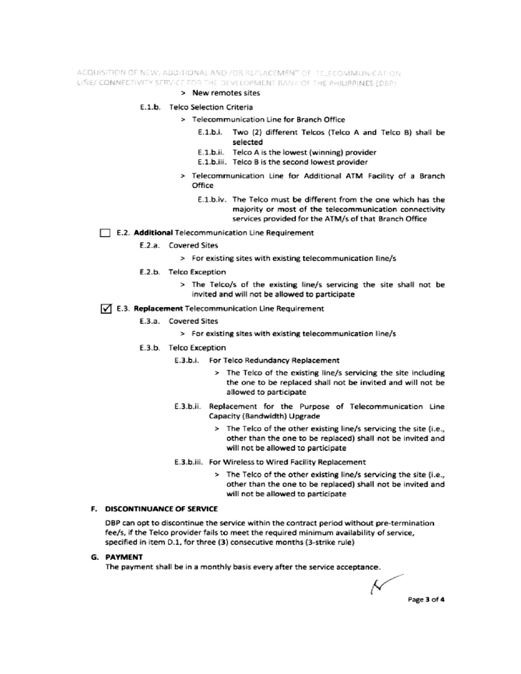ACQUISITION OF NEW, ADDITIONAL AND /OR REPLACEMENT OF TELECOMMUNICATION LINE/ CONNECTIVITY SERVICE FOR THE DEVELOPMENT BANK OF THE PHILIPPINES (DBP)

#### > New remotes sites

#### E.1.b. Telco Selection Criteria

- > Telecommunication Line for Branch Office
	- E.1.b.i. Two (2) different Telcos (Telco A and Telco B) shall be selected
	- E.1.b.ii. Telco A is the lowest (winning) provider
	- E.1.b.iii. Telco B is the second lowest provider
- > Telecommunication Line for Additional ATM Facility of a Branch Office
	- E.1.b.iv. The Telco must be different from the one which has the majority or most of the telecommunication connectivity services provided for the ATM/s of that Branch Office

#### E.2. Additional Telecommunication Line Requirement

- E.2.a. Covered Sites
	- > For existing sites with existing telecommunication line/s
- E.2.b. Telco Exception
	- > The Telco/s of the existing line/s servicing the site shall not be invited and will not be allowed to participate

### √ E.3. Replacement Telecommunication Line Requirement

- E.3.a. Covered Sites
	- > For existing sites with existing telecommunication line/s
- E.3.b. Telco Exception
	- E.3.b.i. For Telco Redundancy Replacement
		- > The Telco of the existing line/s servicing the site including the one to be replaced shall not be invited and will not be allowed to participate
	- E.3.b.ii. Replacement for the Purpose of Telecommunication Line Capacity (Bandwidth) Upgrade
		- > The Telco of the other existing line/s servicing the site (i.e., other than the one to be replaced) shall not be invited and will not be allowed to participate
	- E.3.b.iii. For Wireless to Wired Facility Replacement
		- > The Telco of the other existing line/s servicing the site (i.e., other than the one to be replaced) shall not be invited and will not be allowed to participate

## F. DISCONTINUANCE OF SERVICE

DBP can opt to discontinue the service within the contract period without pre-termination fee/s, if the Telco provider fails to meet the required minimum availability of service, specified in item D.1, for three (3) consecutive months (3-strike rule)

#### **G. PAYMENT**

The payment shall be in a monthly basis every after the service acceptance.

Ν Page 3 of 4